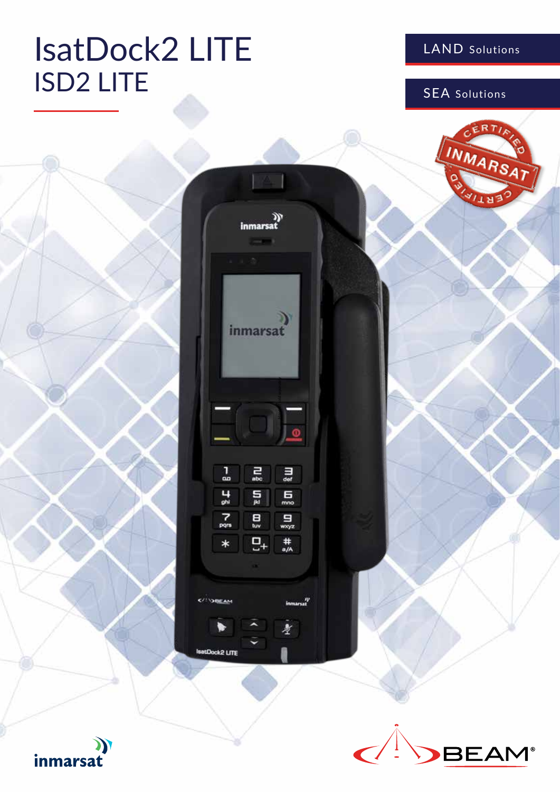# IsatDock2 LITE **ISD2 LITE** SEA Solutions

### LAND Solutions





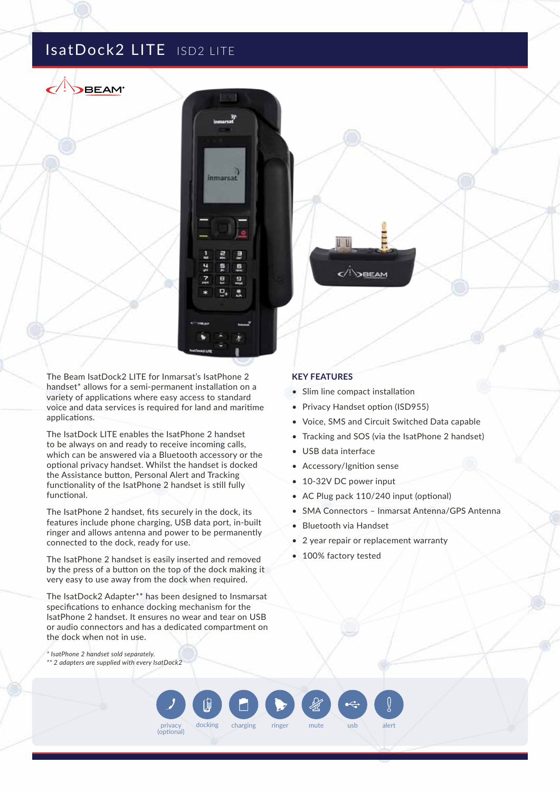### IsatDock2 LITE ISD2 LITE

**BEAM**\*



The Beam IsatDock2 LITE for Inmarsat's IsatPhone 2 handset\* allows for a semi-permanent installation on a variety of applications where easy access to standard voice and data services is required for land and maritime applications.

The IsatDock LITE enables the IsatPhone 2 handset to be always on and ready to receive incoming calls, which can be answered via a Bluetooth accessory or the optional privacy handset. Whilst the handset is docked the Assistance button, Personal Alert and Tracking functionality of the IsatPhone 2 handset is still fully functional.

The IsatPhone 2 handset, fits securely in the dock, its features include phone charging, USB data port, in-built ringer and allows antenna and power to be permanently connected to the dock, ready for use.

The IsatPhone 2 handset is easily inserted and removed by the press of a button on the top of the dock making it very easy to use away from the dock when required.

The IsatDock2 Adapter\*\* has been designed to Insmarsat specifications to enhance docking mechanism for the IsatPhone 2 handset. It ensures no wear and tear on USB or audio connectors and has a dedicated compartment on the dock when not in use.

privacy docking charging ringer (optional)

*\* IsatPhone 2 handset sold separately.*

*\*\* 2 adapters are supplied with every IsatDock2*

#### **KEY FEATURES**

• Slim line compact installation

U U

 $\langle$ <sup>I</sup> $\rangle$ BEAM

- Privacy Handset option (ISD955)
- Voice, SMS and Circuit Switched Data capable
- Tracking and SOS (via the IsatPhone 2 handset)
- USB data interface
- Accessory/Ignition sense
- 10-32V DC power input
- AC Plug pack 110/240 input (optional)
- SMA Connectors Inmarsat Antenna/GPS Antenna
- Bluetooth via Handset
- 2 year repair or replacement warranty
- 100% factory tested

mute usb alert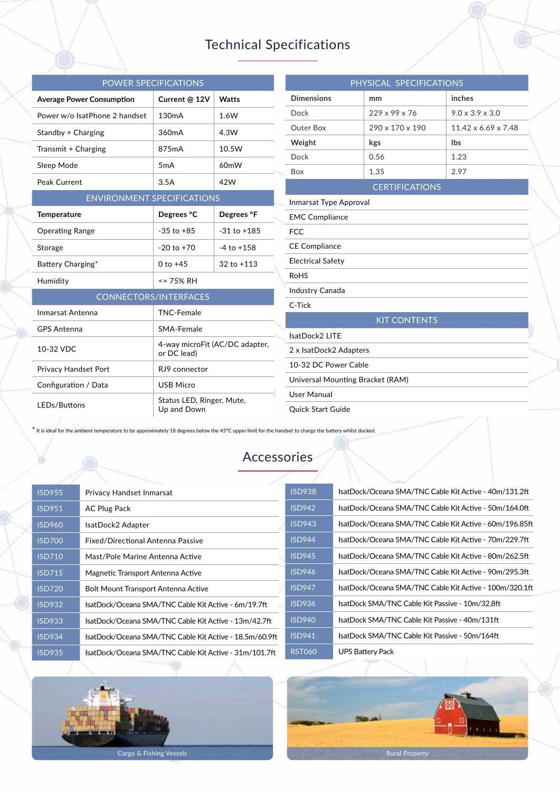# Technical Specifications

| <b>POWER SPECIFICATIONS</b>       |                                               |                   |                      | PHYSICAL SPECIFICATIONS          |                          |  |
|-----------------------------------|-----------------------------------------------|-------------------|----------------------|----------------------------------|--------------------------|--|
| <b>Average Power Consumption</b>  | Current @ 12V                                 | Watts             |                      | <b>Dimensions</b>                | mm                       |  |
| Power w/o IsatPhone 2 handset     | 130 <sub>m</sub> A                            | 1.6W              |                      | Dock                             | 229 x 99 x 76            |  |
| Standby + Charging                | 360mA                                         | 4.3W              |                      | Outer Box                        | 290 x 170 x 190          |  |
| Transmit + Charging               | 875mA                                         | 10.5W             |                      | Weight                           | kgs                      |  |
| Sleep Mode                        | 5 <sub>m</sub> A                              | 60 <sub>m</sub> W |                      | Dock                             | 0.56                     |  |
| Peak Current                      |                                               |                   |                      | Box                              | 1.35                     |  |
|                                   | 3.5A<br>42W<br><b>CERTIFICATIONS</b>          |                   |                      |                                  |                          |  |
| <b>ENVIRONMENT SPECIFICATIONS</b> |                                               |                   |                      | Inmarsat Type Approval           |                          |  |
| <b>Temperature</b>                | Degrees °C                                    | Degrees °F        |                      | <b>EMC Compliance</b>            |                          |  |
| <b>Operating Range</b>            | $-35$ to $+85$                                | $-31$ to $+185$   |                      | <b>FCC</b>                       |                          |  |
| Storage                           | $-20$ to $+70$                                | $-4$ to $+158$    |                      | <b>CE Compliance</b>             |                          |  |
| Battery Charging*                 | $0 to +45$                                    | $32$ to $+113$    |                      | <b>Electrical Safety</b>         |                          |  |
| Humidity                          | $= 75%$ RH                                    |                   |                      | <b>RoHS</b>                      |                          |  |
| <b>CONNECTORS/INTERFACES</b>      |                                               | Industry Canada   |                      |                                  |                          |  |
| Inmarsat Antenna                  |                                               | C-Tick            |                      |                                  |                          |  |
|                                   | <b>TNC-Female</b>                             |                   |                      |                                  | <b>KIT CONTENTS</b>      |  |
| <b>GPS Antenna</b>                | SMA-Female                                    |                   |                      | IsatDock2 LITE                   |                          |  |
| 10-32 VDC                         | 4-way microFit (AC/DC adapter,<br>or DC lead) |                   |                      |                                  | 2 x IsatDock2 Adapters   |  |
| Privacy Handset Port              | RJ9 connector                                 |                   | 10-32 DC Power Cable |                                  |                          |  |
| Configuration / Data              | <b>USB Micro</b>                              |                   |                      | Universal Mounting Bracket (RAM) |                          |  |
|                                   | Status LED, Ringer, Mute,                     |                   |                      | <b>User Manual</b>               |                          |  |
| LEDs/Buttons                      | Up and Down                                   |                   |                      |                                  | <b>Ouick Start Guide</b> |  |

\* It is ideal for the ambient temperature to be approximately 18 degrees below the 45°C upper limit for the handset to charge the battery whilst docked.

## Accessories

| <b>ISD955</b> | Privacy Handset Inmarsat                                | <b>ISD9</b>      |
|---------------|---------------------------------------------------------|------------------|
| <b>ISD951</b> | <b>AC Plug Pack</b>                                     | ISD <sub>9</sub> |
| <b>ISD960</b> | IsatDock2 Adapter                                       | <b>ISD9</b>      |
| <b>ISD700</b> | Fixed/Directional Antenna Passive                       | ISD <sub>9</sub> |
| <b>ISD710</b> | Mast/Pole Marine Antenna Active                         | ISD <sub>9</sub> |
| <b>ISD715</b> | Magnetic Transport Antenna Active                       | ISD <sub>9</sub> |
| <b>ISD720</b> | Bolt Mount Transport Antenna Active                     | ISD <sub>9</sub> |
| <b>ISD932</b> | IsatDock/Oceana SMA/TNC Cable Kit Active - 6m/19.7ft    | ISD <sub>9</sub> |
| <b>ISD933</b> | IsatDock/Oceana SMA/TNC Cable Kit Active - 13m/42.7ft   | ISD <sub>9</sub> |
| <b>ISD934</b> | IsatDock/Oceana SMA/TNC Cable Kit Active - 18.5m/60.9ft | ISD <sub>9</sub> |
| <b>ISD935</b> | IsatDock/Oceana SMA/TNC Cable Kit Active - 31m/101.7ft  | <b>RST</b>       |
|               |                                                         |                  |

| <b>ISD938</b>  | IsatDock/Oceana SMA/TNC Cable Kit Active - 40m/131.2ft  |
|----------------|---------------------------------------------------------|
| <b>ISD942</b>  | IsatDock/Oceana SMA/TNC Cable Kit Active - 50m/164.0ft  |
| <b>ISD943</b>  | IsatDock/Oceana SMA/TNC Cable Kit Active - 60m/196.85ft |
| <b>ISD944</b>  | IsatDock/Oceana SMA/TNC Cable Kit Active - 70m/229.7ft  |
| <b>ISD</b> 945 | IsatDock/Oceana SMA/TNC Cable Kit Active - 80m/262.5ft  |
| <b>ISD946</b>  | IsatDock/Oceana SMA/TNC Cable Kit Active - 90m/295.3ft  |
| <b>ISD947</b>  | IsatDock/Oceana SMA/TNC Cable Kit Active - 100m/320.1ft |
| <b>ISD936</b>  | IsatDock SMA/TNC Cable Kit Passive - 10m/32.8ft         |
| <b>ISD940</b>  | IsatDock SMA/TNC Cable Kit Passive - 40m/131ft          |
| <b>ISD941</b>  | IsatDock SMA/TNC Cable Kit Passive - 50m/164ft          |
| <b>RST060</b>  | <b>UPS Battery Pack</b>                                 |